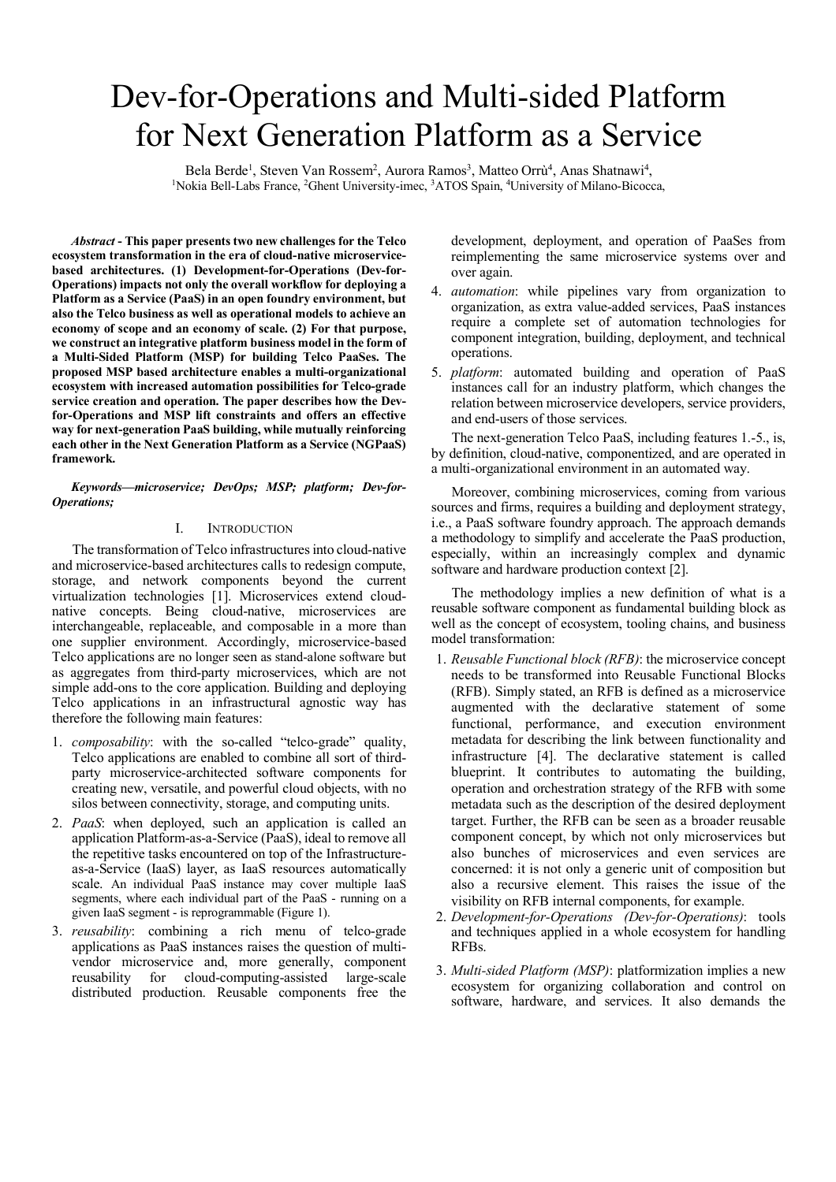# Dev-for-Operations and Multi-sided Platform for Next Generation Platform as a Service

Bela Berde<sup>1</sup>, Steven Van Rossem<sup>2</sup>, Aurora Ramos<sup>3</sup>, Matteo Orrù<sup>4</sup>, Anas Shatnawi<sup>4</sup> Bela Berde<sup>1</sup>, Steven Van Rossem<sup>2</sup>, Aurora Ramos<sup>3</sup>, Matteo Orrù<sup>4</sup>, Anas Shatnawi<sup>4</sup>,<br><sup>1</sup>Nokia Bell-Labs France, <sup>2</sup>Ghent University-imec, <sup>3</sup>ATOS Spain, <sup>4</sup>University of Milano-Bicocca,

*Abstract* **- This paper presents two new challenges for the Telco ecosystem transformation in the era of cloud-native microservicebased architectures. (1) Development-for-Operations (Dev-for-Operations) impacts not only the overall workflow for deploying a Platform as a Service (PaaS) in an open foundry environment, but also the Telco business as well as operational models to achieve an economy of scope and an economy of scale. (2) For that purpose, we construct an integrative platform business model in the form of a Multi-Sided Platform (MSP) for building Telco PaaSes. The proposed MSP based architecture enables a multi-organizational ecosystem with increased automation possibilities for Telco-grade service creation and operation. The paper describes how the Devfor-Operations and MSP lift constraints and offers an effective way for next-generation PaaS building, while mutually reinforcing each other in the Next Generation Platform as a Service (NGPaaS) framework.**

*Keywords—microservice; DevOps; MSP; platform; Dev-for-Operations;* 

# I. INTRODUCTION

The transformation of Telco infrastructures into cloud-native and microservice-based architectures calls to redesign compute, storage, and network components beyond the current virtualization technologies [1]. Microservices extend cloudnative concepts. Being cloud-native, microservices are interchangeable, replaceable, and composable in a more than one supplier environment. Accordingly, microservice-based Telco applications are no longer seen as stand-alone software but as aggregates from third-party microservices, which are not simple add-ons to the core application. Building and deploying Telco applications in an infrastructural agnostic way has therefore the following main features:

- 1. *composability*: with the so-called "telco-grade" quality, Telco applications are enabled to combine all sort of thirdparty microservice-architected software components for creating new, versatile, and powerful cloud objects, with no silos between connectivity, storage, and computing units.
- 2. *PaaS*: when deployed, such an application is called an application Platform-as-a-Service (PaaS), ideal to remove all the repetitive tasks encountered on top of the Infrastructureas-a-Service (IaaS) layer, as IaaS resources automatically scale. An individual PaaS instance may cover multiple IaaS segments, where each individual part of the PaaS - running on a given IaaS segment - is reprogrammable (Figure 1).
- 3. *reusability*: combining a rich menu of telco-grade applications as PaaS instances raises the question of multivendor microservice and, more generally, component reusability for cloud-computing-assisted large-scale distributed production. Reusable components free the

development, deployment, and operation of PaaSes from reimplementing the same microservice systems over and over again.

- 4. *automation*: while pipelines vary from organization to organization, as extra value-added services, PaaS instances require a complete set of automation technologies for component integration, building, deployment, and technical operations.
- 5. *platform*: automated building and operation of PaaS instances call for an industry platform, which changes the relation between microservice developers, service providers, and end-users of those services.

The next-generation Telco PaaS, including features 1.-5., is, by definition, cloud-native, componentized, and are operated in a multi-organizational environment in an automated way.

Moreover, combining microservices, coming from various sources and firms, requires a building and deployment strategy, i.e., a PaaS software foundry approach. The approach demands a methodology to simplify and accelerate the PaaS production, especially, within an increasingly complex and dynamic software and hardware production context [2].

The methodology implies a new definition of what is a reusable software component as fundamental building block as well as the concept of ecosystem, tooling chains, and business model transformation:

- 1. *Reusable Functional block (RFB)*: the microservice concept needs to be transformed into Reusable Functional Blocks (RFB). Simply stated, an RFB is defined as a microservice augmented with the declarative statement of some functional, performance, and execution environment metadata for describing the link between functionality and infrastructure [4]. The declarative statement is called blueprint. It contributes to automating the building, operation and orchestration strategy of the RFB with some metadata such as the description of the desired deployment target. Further, the RFB can be seen as a broader reusable component concept, by which not only microservices but also bunches of microservices and even services are concerned: it is not only a generic unit of composition but also a recursive element. This raises the issue of the visibility on RFB internal components, for example.
- 2. *Development-for-Operations (Dev-for-Operations)*: tools and techniques applied in a whole ecosystem for handling RFBs.
- 3. *Multi-sided Platform (MSP)*: platformization implies a new ecosystem for organizing collaboration and control on software, hardware, and services. It also demands the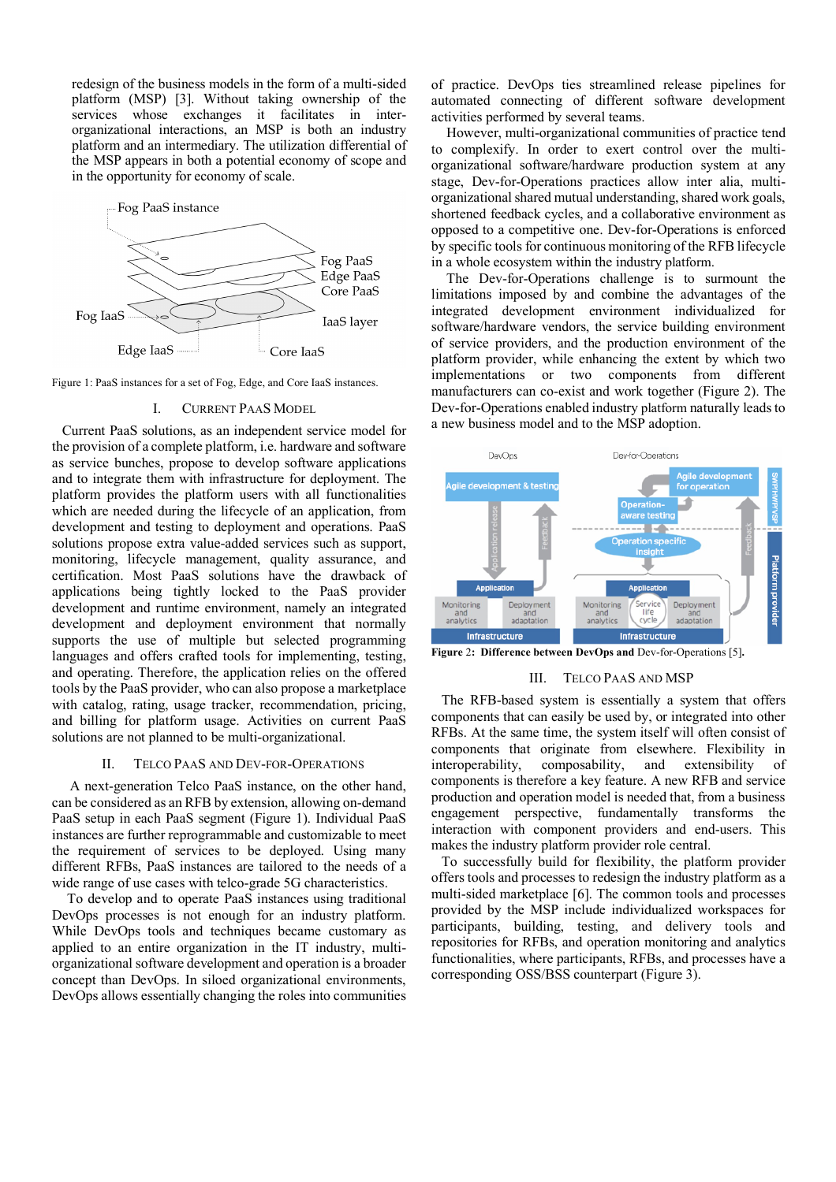redesign of the business models in the form of a multi-sided platform (MSP) [3]. Without taking ownership of the services whose exchanges it facilitates in interorganizational interactions, an MSP is both an industry platform and an intermediary. The utilization differential of the MSP appears in both a potential economy of scope and in the opportunity for economy of scale.



Figure 1: PaaS instances for a set of Fog, Edge, and Core IaaS instances.

#### I. CURRENT PAAS MODEL

Current PaaS solutions, as an independent service model for the provision of a complete platform, i.e. hardware and software as service bunches, propose to develop software applications and to integrate them with infrastructure for deployment. The platform provides the platform users with all functionalities which are needed during the lifecycle of an application, from development and testing to deployment and operations. PaaS solutions propose extra value-added services such as support, monitoring, lifecycle management, quality assurance, and certification. Most PaaS solutions have the drawback of applications being tightly locked to the PaaS provider development and runtime environment, namely an integrated development and deployment environment that normally supports the use of multiple but selected programming languages and offers crafted tools for implementing, testing, and operating. Therefore, the application relies on the offered tools by the PaaS provider, who can also propose a marketplace with catalog, rating, usage tracker, recommendation, pricing, and billing for platform usage. Activities on current PaaS solutions are not planned to be multi-organizational.

## II. TELCO PAAS AND DEV-FOR-OPERATIONS

 A next-generation Telco PaaS instance, on the other hand, can be considered as an RFB by extension, allowing on-demand PaaS setup in each PaaS segment (Figure 1). Individual PaaS instances are further reprogrammable and customizable to meet the requirement of services to be deployed. Using many different RFBs, PaaS instances are tailored to the needs of a wide range of use cases with telco-grade 5G characteristics.

To develop and to operate PaaS instances using traditional DevOps processes is not enough for an industry platform. While DevOps tools and techniques became customary as applied to an entire organization in the IT industry, multiorganizational software development and operation is a broader concept than DevOps. In siloed organizational environments, DevOps allows essentially changing the roles into communities

of practice. DevOps ties streamlined release pipelines for automated connecting of different software development activities performed by several teams.

However, multi-organizational communities of practice tend to complexify. In order to exert control over the multiorganizational software/hardware production system at any stage, Dev-for-Operations practices allow inter alia, multiorganizational shared mutual understanding, shared work goals, shortened feedback cycles, and a collaborative environment as opposed to a competitive one. Dev-for-Operations is enforced by specific tools for continuous monitoring of the RFB lifecycle in a whole ecosystem within the industry platform.

The Dev-for-Operations challenge is to surmount the limitations imposed by and combine the advantages of the integrated development environment individualized for software/hardware vendors, the service building environment of service providers, and the production environment of the platform provider, while enhancing the extent by which two implementations or two components from different manufacturers can co-exist and work together (Figure 2). The Dev-for-Operations enabled industry platform naturally leads to a new business model and to the MSP adoption.



**Figure** 2**: Difference between DevOps and** Dev-for-Operations [5]**.**

#### III. TELCO PAAS AND MSP

The RFB-based system is essentially a system that offers components that can easily be used by, or integrated into other RFBs. At the same time, the system itself will often consist of components that originate from elsewhere. Flexibility in interoperability, composability, and extensibility of components is therefore a key feature. A new RFB and service production and operation model is needed that, from a business engagement perspective, fundamentally transforms the interaction with component providers and end-users. This makes the industry platform provider role central.

To successfully build for flexibility, the platform provider offers tools and processes to redesign the industry platform as a multi-sided marketplace [6]. The common tools and processes provided by the MSP include individualized workspaces for participants, building, testing, and delivery tools and repositories for RFBs, and operation monitoring and analytics functionalities, where participants, RFBs, and processes have a corresponding OSS/BSS counterpart (Figure 3).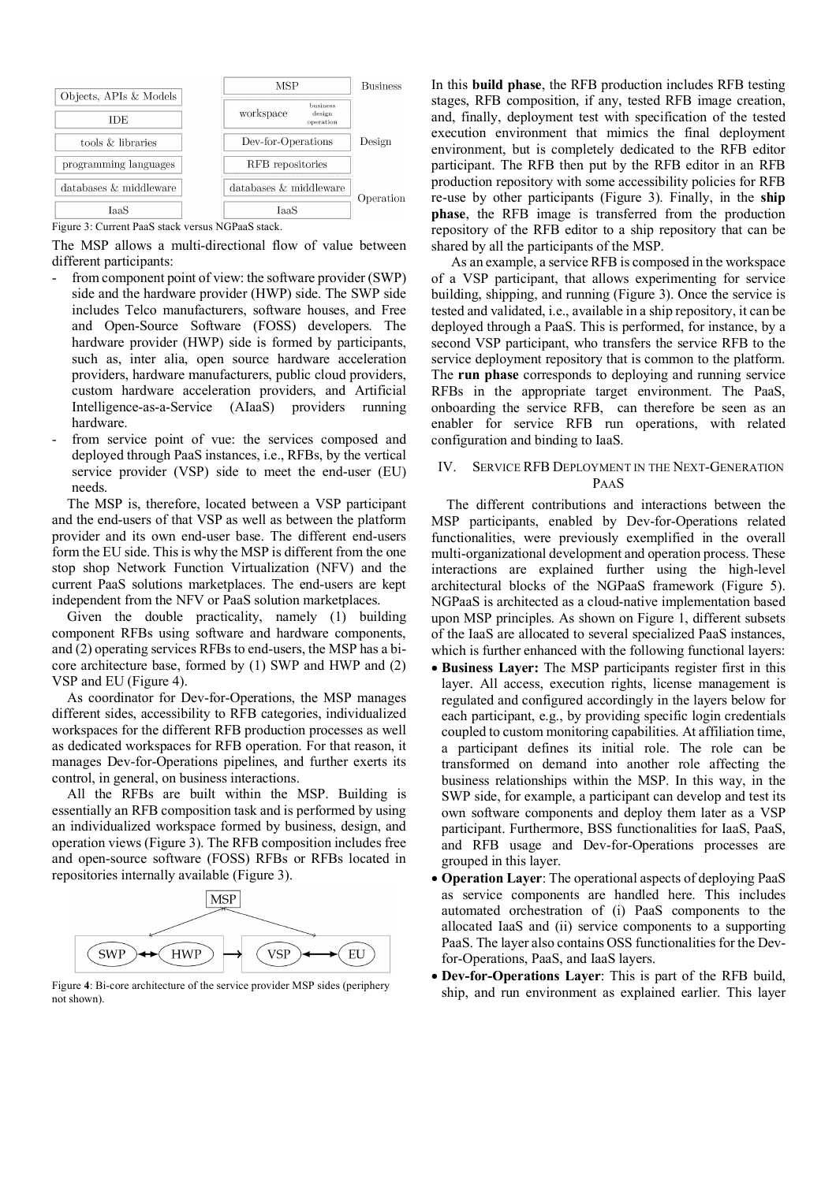

Figure 3: Current PaaS stack versus NGPaaS stack.

The MSP allows a multi-directional flow of value between different participants:

- from component point of view: the software provider (SWP) side and the hardware provider (HWP) side. The SWP side includes Telco manufacturers, software houses, and Free and Open-Source Software (FOSS) developers. The hardware provider (HWP) side is formed by participants, such as, inter alia, open source hardware acceleration providers, hardware manufacturers, public cloud providers, custom hardware acceleration providers, and Artificial Intelligence-as-a-Service (AIaaS) providers running hardware.
- from service point of vue: the services composed and deployed through PaaS instances, i.e., RFBs, by the vertical service provider (VSP) side to meet the end-user (EU) needs.

The MSP is, therefore, located between a VSP participant and the end-users of that VSP as well as between the platform provider and its own end-user base. The different end-users form the EU side. This is why the MSP is different from the one stop shop Network Function Virtualization (NFV) and the current PaaS solutions marketplaces. The end-users are kept independent from the NFV or PaaS solution marketplaces.

Given the double practicality, namely (1) building component RFBs using software and hardware components, and (2) operating services RFBs to end-users, the MSP has a bicore architecture base, formed by (1) SWP and HWP and (2) VSP and EU (Figure 4).

As coordinator for Dev-for-Operations, the MSP manages different sides, accessibility to RFB categories, individualized workspaces for the different RFB production processes as well as dedicated workspaces for RFB operation. For that reason, it manages Dev-for-Operations pipelines, and further exerts its control, in general, on business interactions.

All the RFBs are built within the MSP. Building is essentially an RFB composition task and is performed by using an individualized workspace formed by business, design, and operation views (Figure 3). The RFB composition includes free and open-source software (FOSS) RFBs or RFBs located in repositories internally available (Figure 3).



Figure 4: Bi-core architecture of the service provider MSP sides (periphery not shown).

In this **build phase**, the RFB production includes RFB testing stages, RFB composition, if any, tested RFB image creation, and, finally, deployment test with specification of the tested execution environment that mimics the final deployment environment, but is completely dedicated to the RFB editor participant. The RFB then put by the RFB editor in an RFB production repository with some accessibility policies for RFB re-use by other participants (Figure 3). Finally, in the **ship phase**, the RFB image is transferred from the production repository of the RFB editor to a ship repository that can be shared by all the participants of the MSP.

As an example, a service RFB is composed in the workspace of a VSP participant, that allows experimenting for service building, shipping, and running (Figure 3). Once the service is tested and validated, i.e., available in a ship repository, it can be deployed through a PaaS. This is performed, for instance, by a second VSP participant, who transfers the service RFB to the service deployment repository that is common to the platform. The **run phase** corresponds to deploying and running service RFBs in the appropriate target environment. The PaaS, onboarding the service RFB, can therefore be seen as an enabler for service RFB run operations, with related configuration and binding to IaaS.

## IV. SERVICE RFB DEPLOYMENT IN THE NEXT-GENERATION PAAS

The different contributions and interactions between the MSP participants, enabled by Dev-for-Operations related functionalities, were previously exemplified in the overall multi-organizational development and operation process. These interactions are explained further using the high-level architectural blocks of the NGPaaS framework (Figure 5). NGPaaS is architected as a cloud-native implementation based upon MSP principles. As shown on Figure 1, different subsets of the IaaS are allocated to several specialized PaaS instances, which is further enhanced with the following functional layers:

- **Business Layer:** The MSP participants register first in this layer. All access, execution rights, license management is regulated and configured accordingly in the layers below for each participant, e.g., by providing specific login credentials coupled to custom monitoring capabilities. At affiliation time, a participant defines its initial role. The role can be transformed on demand into another role affecting the business relationships within the MSP. In this way, in the SWP side, for example, a participant can develop and test its own software components and deploy them later as a VSP participant. Furthermore, BSS functionalities for IaaS, PaaS, and RFB usage and Dev-for-Operations processes are grouped in this layer.
- **Operation Layer**: The operational aspects of deploying PaaS as service components are handled here. This includes automated orchestration of (i) PaaS components to the allocated IaaS and (ii) service components to a supporting PaaS. The layer also contains OSS functionalities for the Devfor-Operations, PaaS, and IaaS layers.
- **Dev-for-Operations Layer**: This is part of the RFB build, ship, and run environment as explained earlier. This layer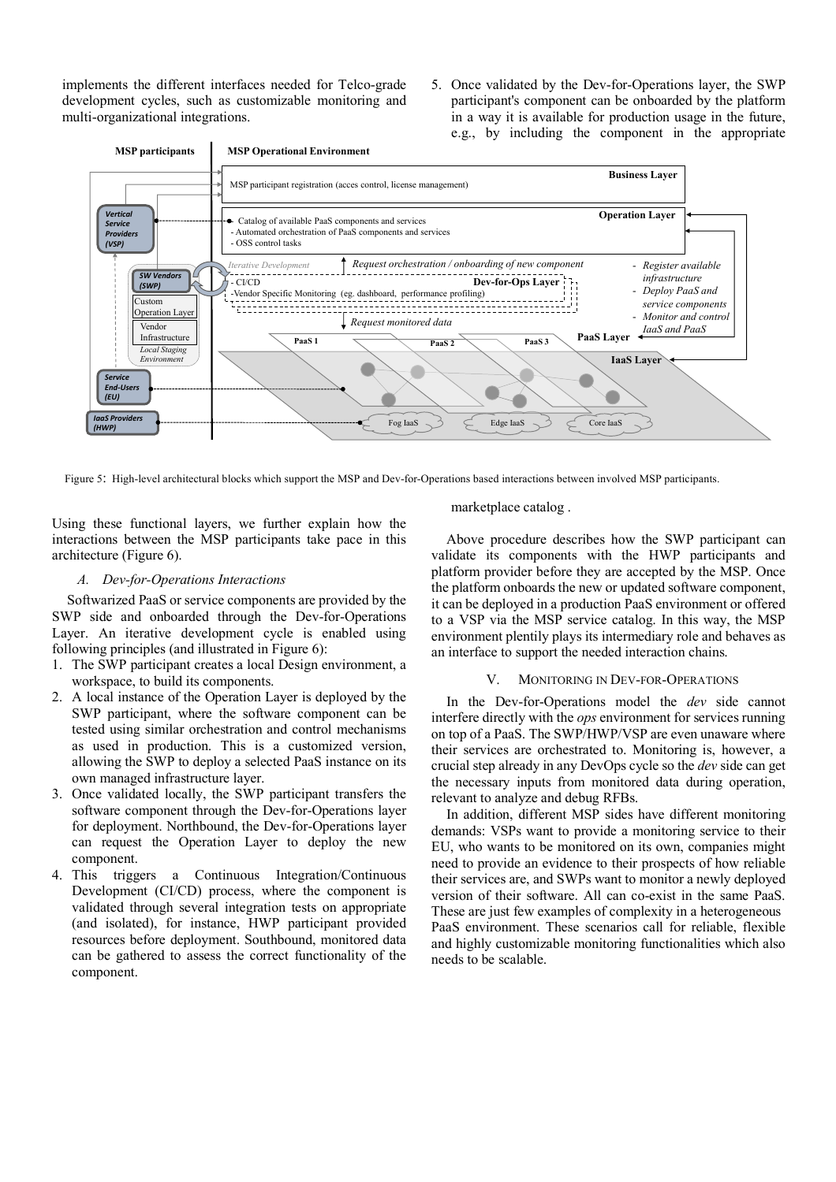implements the different interfaces needed for Telco-grade development cycles, such as customizable monitoring and multi-organizational integrations.

5. Once validated by the Dev-for-Operations layer, the SWP participant's component can be onboarded by the platform in a way it is available for production usage in the future, e.g., by including the component in the appropriate



Figure 5: High-level architectural blocks which support the MSP and Dev-for-Operations based interactions between involved MSP participants.

Using these functional layers, we further explain how the interactions between the MSP participants take pace in this architecture (Figure 6).

# *A. Dev-for-Operations Interactions*

Softwarized PaaS or service components are provided by the SWP side and onboarded through the Dev-for-Operations Layer. An iterative development cycle is enabled using following principles (and illustrated in Figure 6):

- 1. The SWP participant creates a local Design environment, a workspace, to build its components.
- 2. A local instance of the Operation Layer is deployed by the SWP participant, where the software component can be tested using similar orchestration and control mechanisms as used in production. This is a customized version, allowing the SWP to deploy a selected PaaS instance on its own managed infrastructure layer.
- 3. Once validated locally, the SWP participant transfers the software component through the Dev-for-Operations layer for deployment. Northbound, the Dev-for-Operations layer can request the Operation Layer to deploy the new component.
- 4. This triggers a Continuous Integration/Continuous Development (CI/CD) process, where the component is validated through several integration tests on appropriate (and isolated), for instance, HWP participant provided resources before deployment. Southbound, monitored data can be gathered to assess the correct functionality of the component.

marketplace catalog .

Above procedure describes how the SWP participant can validate its components with the HWP participants and platform provider before they are accepted by the MSP. Once the platform onboards the new or updated software component, it can be deployed in a production PaaS environment or offered to a VSP via the MSP service catalog. In this way, the MSP environment plentily plays its intermediary role and behaves as an interface to support the needed interaction chains.

## V. MONITORING IN DEV-FOR-OPERATIONS

In the Dev-for-Operations model the *dev* side cannot interfere directly with the *ops* environment for services running on top of a PaaS. The SWP/HWP/VSP are even unaware where their services are orchestrated to. Monitoring is, however, a crucial step already in any DevOps cycle so the *dev* side can get the necessary inputs from monitored data during operation, relevant to analyze and debug RFBs.

In addition, different MSP sides have different monitoring demands: VSPs want to provide a monitoring service to their EU, who wants to be monitored on its own, companies might need to provide an evidence to their prospects of how reliable their services are, and SWPs want to monitor a newly deployed version of their software. All can co-exist in the same PaaS. These are just few examples of complexity in a heterogeneous PaaS environment. These scenarios call for reliable, flexible and highly customizable monitoring functionalities which also needs to be scalable.